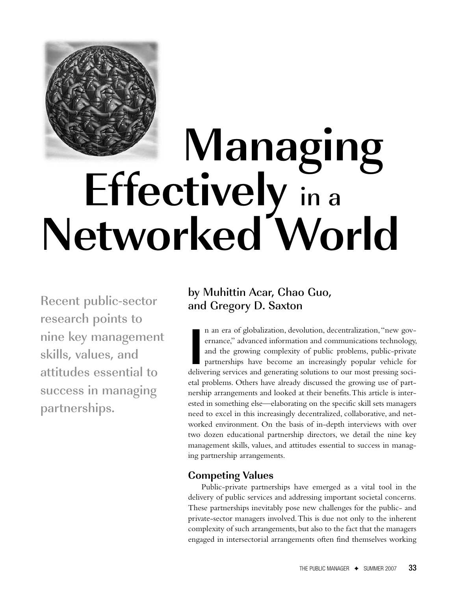

# **Managing Effectively** in <sup>a</sup> **Networked World**

Recent public-sector research points to nine key management skills, values, and attitudes essential to success in managing partnerships.

# by Muhittin Acar, Chao Guo, and Gregory D. Saxton

**I** n an era of globalization, devolution, decentralization,"new governance," advanced information and communications technology, and the growing complexity of public problems, public-private partnerships have become an increasingly popular vehicle for delivering services and generating solutions to our most pressing societal problems. Others have already discussed the growing use of partnership arrangements and looked at their benefits.This article is interested in something else—elaborating on the specific skill sets managers need to excel in this increasingly decentralized, collaborative, and networked environment. On the basis of in-depth interviews with over two dozen educational partnership directors, we detail the nine key management skills, values, and attitudes essential to success in managing partnership arrangements.

# **Competing Values**

Public-private partnerships have emerged as a vital tool in the delivery of public services and addressing important societal concerns. These partnerships inevitably pose new challenges for the public- and private-sector managers involved.This is due not only to the inherent complexity of such arrangements, but also to the fact that the managers engaged in intersectorial arrangements often find themselves working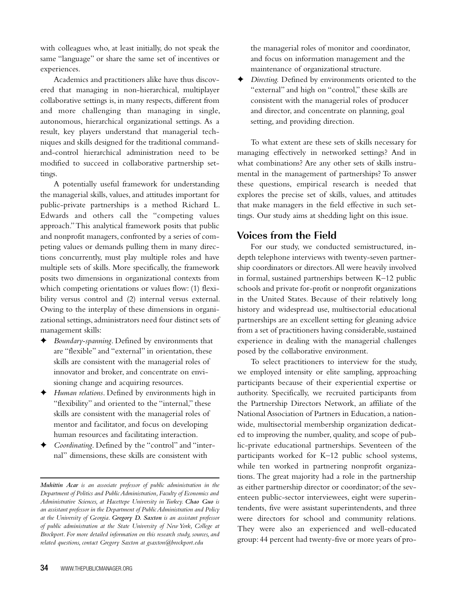with colleagues who, at least initially, do not speak the same "language" or share the same set of incentives or experiences.

Academics and practitioners alike have thus discovered that managing in non-hierarchical, multiplayer collaborative settings is, in many respects, different from and more challenging than managing in single, autonomous, hierarchical organizational settings. As a result, key players understand that managerial techniques and skills designed for the traditional commandand-control hierarchical administration need to be modified to succeed in collaborative partnership settings.

A potentially useful framework for understanding the managerial skills, values,and attitudes important for public-private partnerships is a method Richard L. Edwards and others call the "competing values approach."This analytical framework posits that public and nonprofit managers, confronted by a series of competing values or demands pulling them in many directions concurrently, must play multiple roles and have multiple sets of skills. More specifically, the framework posits two dimensions in organizational contexts from which competing orientations or values flow: (1) flexibility versus control and (2) internal versus external. Owing to the interplay of these dimensions in organizational settings, administrators need four distinct sets of management skills:

- **✦** *Boundary-spanning*. Defined by environments that are "flexible" and "external" in orientation, these skills are consistent with the managerial roles of innovator and broker, and concentrate on envisioning change and acquiring resources.
- **✦** *Human relations*. Defined by environments high in "flexibility" and oriented to the "internal," these skills are consistent with the managerial roles of mentor and facilitator, and focus on developing human resources and facilitating interaction.
- **✦** *Coordinating*. Defined by the "control" and "internal" dimensions, these skills are consistent with

the managerial roles of monitor and coordinator, and focus on information management and the maintenance of organizational structure.

**✦** *Directing.* Defined by environments oriented to the "external" and high on "control," these skills are consistent with the managerial roles of producer and director, and concentrate on planning, goal setting, and providing direction.

To what extent are these sets of skills necessary for managing effectively in networked settings? And in what combinations? Are any other sets of skills instrumental in the management of partnerships? To answer these questions, empirical research is needed that explores the precise set of skills, values, and attitudes that make managers in the field effective in such settings. Our study aims at shedding light on this issue.

# **Voices from the Field**

For our study, we conducted semistructured, indepth telephone interviews with twenty-seven partnership coordinators or directors.All were heavily involved in formal, sustained partnerships between K–12 public schools and private for-profit or nonprofit organizations in the United States. Because of their relatively long history and widespread use, multisectorial educational partnerships are an excellent setting for gleaning advice from a set of practitioners having considerable, sustained experience in dealing with the managerial challenges posed by the collaborative environment.

To select practitioners to interview for the study, we employed intensity or elite sampling, approaching participants because of their experiential expertise or authority. Specifically, we recruited participants from the Partnership Directors Network, an affiliate of the NationalAssociation of Partners in Education,a nationwide, multisectorial membership organization dedicated to improving the number, quality, and scope of public-private educational partnerships. Seventeen of the participants worked for K–12 public school systems, while ten worked in partnering nonprofit organizations. The great majority had a role in the partnership as either partnership director or coordinator; of the seventeen public-sector interviewees, eight were superintendents, five were assistant superintendents, and three were directors for school and community relations. They were also an experienced and well-educated group: 44 percent had twenty-five or more years of pro-

*Muhittin Acar is an associate professor of public administration in the Department of Politics and PublicAdministration,Faculty of Economics and Administrative Sciences, at Hacettepe University in Turkey. Chao Guo is an assistant professor in the Department of PublicAdministration and Policy at the University of Georgia. Gregory D. Saxton is an assistant professor of public administration at the State University of New York, College at Brockport. For more detailed information on this research study, sources, and related questions, contact Gregory Saxton at gsaxton@brockport.edu*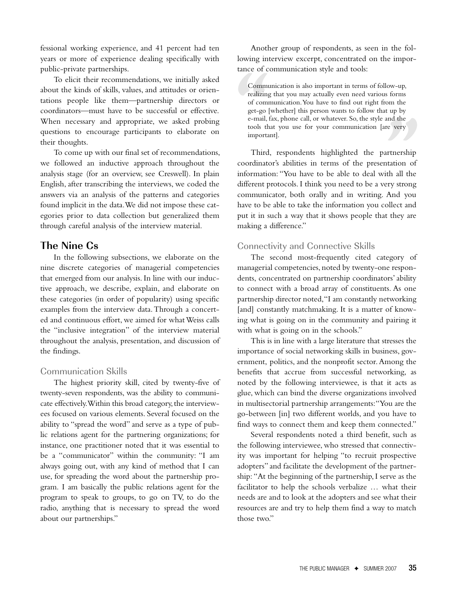fessional working experience, and 41 percent had ten years or more of experience dealing specifically with public-private partnerships.

To elicit their recommendations, we initially asked about the kinds of skills, values, and attitudes or orientations people like them—partnership directors or coordinators—must have to be successful or effective. When necessary and appropriate, we asked probing questions to encourage participants to elaborate on their thoughts.

To come up with our final set of recommendations, we followed an inductive approach throughout the analysis stage (for an overview, see Creswell). In plain English, after transcribing the interviews, we coded the answers via an analysis of the patterns and categories found implicit in the data.We did not impose these categories prior to data collection but generalized them through careful analysis of the interview material.

# **The Nine Cs**

In the following subsections, we elaborate on the nine discrete categories of managerial competencies that emerged from our analysis. In line with our inductive approach, we describe, explain, and elaborate on these categories (in order of popularity) using specific examples from the interview data.Through a concerted and continuous effort, we aimed for whatWeiss calls the "inclusive integration" of the interview material throughout the analysis, presentation, and discussion of the findings.

#### Communication Skills

The highest priority skill, cited by twenty-five of twenty-seven respondents, was the ability to communicate effectively.Within this broad category,the interviewees focused on various elements. Several focused on the ability to "spread the word" and serve as a type of public relations agent for the partnering organizations; for instance, one practitioner noted that it was essential to be a "communicator" within the community: "I am always going out, with any kind of method that I can use, for spreading the word about the partnership program. I am basically the public relations agent for the program to speak to groups, to go on TV, to do the radio, anything that is necessary to spread the word about our partnerships."

Another group of respondents, as seen in the following interview excerpt, concentrated on the importance of communication style and tools:

Commu<br>realizing<br>of comm<br>get-go<br>e-mail,<br>tools th<br>importa Communication is also important in terms of follow-up, realizing that you may actually even need various forms of communication.You have to find out right from the get-go [whether] this person wants to follow that up by e-mail, fax, phone call, or whatever. So, the style and the tools that you use for your communication [are very important].

and the<br>
<u>revery</u><br>
Internet very<br>
the all the<br>
revery strong Third, respondents highlighted the partnership coordinator's abilities in terms of the presentation of information: "You have to be able to deal with all the different protocols. I think you need to be a very strong communicator, both orally and in writing. And you have to be able to take the information you collect and put it in such a way that it shows people that they are making a difference."

## Connectivity and Connective Skills

The second most-frequently cited category of managerial competencies, noted by twenty-one respondents, concentrated on partnership coordinators'ability to connect with a broad array of constituents. As one partnership director noted,"I am constantly networking [and] constantly matchmaking. It is a matter of knowing what is going on in the community and pairing it with what is going on in the schools."

This is in line with a large literature that stresses the importance of social networking skills in business, government, politics, and the nonprofit sector.Among the benefits that accrue from successful networking, as noted by the following interviewee, is that it acts as glue, which can bind the diverse organizations involved in multisectorial partnership arrangements:"You are the go-between [in] two different worlds, and you have to find ways to connect them and keep them connected."

Several respondents noted a third benefit, such as the following interviewee, who stressed that connectivity was important for helping "to recruit prospective adopters" and facilitate the development of the partnership: "At the beginning of the partnership, I serve as the facilitator to help the schools verbalize … what their needs are and to look at the adopters and see what their resources are and try to help them find a way to match those two."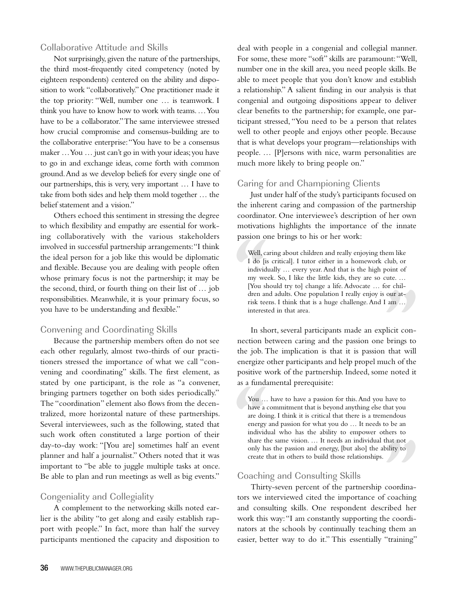#### Collaborative Attitude and Skills

Not surprisingly, given the nature of the partnerships, the third most-frequently cited competency (noted by eighteen respondents) centered on the ability and disposition to work "collaboratively." One practitioner made it the top priority: "Well, number one … is teamwork. I think you have to know how to work with teams.…You have to be a collaborator."The same interviewee stressed how crucial compromise and consensus-building are to the collaborative enterprise:"You have to be a consensus maker …You … just can't go in with your ideas;you have to go in and exchange ideas, come forth with common ground.And as we develop beliefs for every single one of our partnerships, this is very, very important … I have to take from both sides and help them mold together … the belief statement and a vision."

Others echoed this sentiment in stressing the degree to which flexibility and empathy are essential for working collaboratively with the various stakeholders involved in successful partnership arrangements:"I think the ideal person for a job like this would be diplomatic and flexible. Because you are dealing with people often whose primary focus is not the partnership; it may be the second, third, or fourth thing on their list of … job responsibilities. Meanwhile, it is your primary focus, so you have to be understanding and flexible."

#### Convening and Coordinating Skills

Because the partnership members often do not see each other regularly, almost two-thirds of our practitioners stressed the importance of what we call "convening and coordinating" skills. The first element, as stated by one participant, is the role as "a convener, bringing partners together on both sides periodically." The "coordination" element also flows from the decentralized, more horizontal nature of these partnerships. Several interviewees, such as the following, stated that such work often constituted a large portion of their day-to-day work: "[You are] sometimes half an event planner and half a journalist." Others noted that it was important to "be able to juggle multiple tasks at once. Be able to plan and run meetings as well as big events."

## Congeniality and Collegiality

A complement to the networking skills noted earlier is the ability "to get along and easily establish rapport with people." In fact, more than half the survey participants mentioned the capacity and disposition to deal with people in a congenial and collegial manner. For some, these more "soft" skills are paramount:"Well, number one in the skill area, you need people skills. Be able to meet people that you don't know and establish a relationship." A salient finding in our analysis is that congenial and outgoing dispositions appear to deliver clear benefits to the partnership; for example, one participant stressed, "You need to be a person that relates well to other people and enjoys other people. Because that is what develops your program—relationships with people. … [P]ersons with nice, warm personalities are much more likely to bring people on."

## Caring for and Championing Clients

Just under half of the study's participants focused on the inherent caring and compassion of the partnership coordinator. One interviewee's description of her own motivations highlights the importance of the innate passion one brings to his or her work:

Well, can <br>
I do [is<br>
individ my we<br>
[You sh dren an <br>
risk tee interest Well, caring about children and really enjoying them like I do [is critical]. I tutor either in a homework club, or individually … every year.And that is the high point of my week. So, I like the little kids, they are so cute. … [You should try to] change a life.Advocate … for children and adults. One population I really enjoy is our atrisk teens. I think that is a huge challenge.And I am … interested in that area.

our at-<br>
<sup>1</sup> am ...<br>
<sup>1</sup> blicit con-<br>
brings to<br>
that will In short, several participants made an explicit connection between caring and the passion one brings to the job. The implication is that it is passion that will energize other participants and help propel much of the positive work of the partnership. Indeed, some noted it as a fundamental prerequisite:

You ...<br>have a c<br>are doi:<br>energy<br>individ<br>share t<sup>1</sup><br>only ha<br>create t You ... have to have a passion for this. And you have to have a commitment that is beyond anything else that you are doing. I think it is critical that there is a tremendous energy and passion for what you do … It needs to be an individual who has the ability to empower others to share the same vision. … It needs an individual that not only has the passion and energy, [but also] the ability to create that in others to build those relationships.

# Coaching and Consulting Skills

that not<br>bility to<br>coordina-<br>coaching<br>ribed her Thirty-seven percent of the partnership coordinators we interviewed cited the importance of coaching and consulting skills. One respondent described her work this way:"I am constantly supporting the coordinators at the schools by continually teaching them an easier, better way to do it." This essentially "training"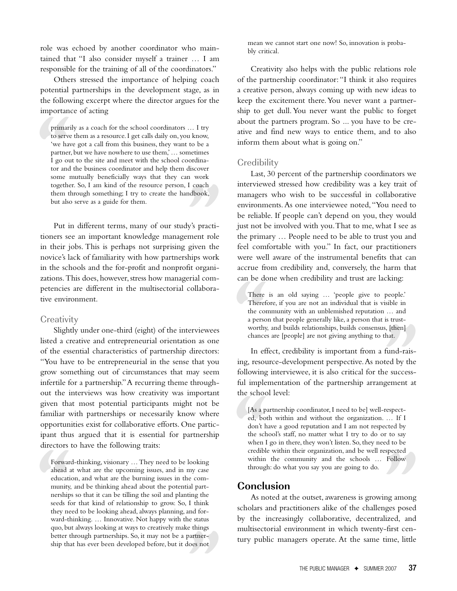role was echoed by another coordinator who maintained that "I also consider myself a trainer … I am responsible for the training of all of the coordinators."

Others stressed the importance of helping coach potential partnerships in the development stage, as in the following excerpt where the director argues for the importance of acting

primar:<br>to serve<br>"we have partner<br>I go ou<br>tor and<br>some 1<br>togethe primarily as a coach for the school coordinators … I try to serve them as a resource.I get calls daily on, you know, 'we have got a call from this business, they want to be a partner, but we have nowhere to use them,'… sometimes I go out to the site and meet with the school coordinator and the business coordinator and help them discover some mutually beneficially ways that they can work together. So, I am kind of the resource person, I coach them through something; I try to create the handbook, but also serve as a guide for them.

I coach<br>ndbook,<br>y's practi-<br>ment role<br>given the<br>hins work Put in different terms, many of our study's practitioners see an important knowledge management role in their jobs. This is perhaps not surprising given the novice's lack of familiarity with how partnerships work in the schools and the for-profit and nonprofit organizations. This does, however, stress how managerial competencies are different in the multisectorial collaborative environment.

#### **Creativity**

Slightly under one-third (eight) of the interviewees listed a creative and entrepreneurial orientation as one of the essential characteristics of partnership directors: "You have to be entrepreneurial in the sense that you grow something out of circumstances that may seem infertile for a partnership."A recurring theme throughout the interviews was how creativity was important given that most potential participants might not be familiar with partnerships or necessarily know where opportunities exist for collaborative efforts. One participant thus argued that it is essential for partnership directors to have the following traits:

partner-<br>loes not Forwar<br>ahead<br>educati<br>educati<br>munity<br>nership<br>seeds fi<br>they ne<br>ward-tl Forward-thinking, visionary …They need to be looking ahead at what are the upcoming issues, and in my case education, and what are the burning issues in the community, and be thinking ahead about the potential partnerships so that it can be tilling the soil and planting the seeds for that kind of relationship to grow. So, I think they need to be looking ahead, always planning, and forward-thinking. … Innovative. Not happy with the status quo, but always looking at ways to creatively make things better through partnerships. So, it may not be a partnership that has ever been developed before, but it does not

mean we cannot start one now! So, innovation is probably critical.

Creativity also helps with the public relations role of the partnership coordinator: "I think it also requires a creative person, always coming up with new ideas to keep the excitement there.You never want a partnership to get dull. You never want the public to forget about the partners program. So ... you have to be creative and find new ways to entice them, and to also inform them about what is going on."

#### **Credibility**

Last, 30 percent of the partnership coordinators we interviewed stressed how credibility was a key trait of managers who wish to be successful in collaborative environments.As one interviewee noted,"You need to be reliable. If people can't depend on you, they would just not be involved with you. That to me, what I see as the primary … People need to be able to trust you and feel comfortable with you." In fact, our practitioners were well aware of the instrumental benefits that can accrue from credibility and, conversely, the harm that can be done when credibility and trust are lacking:

There<br>Thereft<br>the cor<br>a perso<br>worthy.<br>chance:<br>In eff There is an old saying … 'people give to people.' Therefore, if you are not an individual that is visible in the community with an unblemished reputation … and a person that people generally like, a person that is trustworthy, and builds relationships, builds consensus, [then] chances are [people] are not giving anything to that.

i, [then]<br>hat.<br>fund-rais-<br>ted by the<br>e success-<br>gement at In effect, credibility is important from a fund-raising, resource-development perspective.As noted by the following interviewee, it is also critical for the successful implementation of the partnership arrangement at the school level:

[As a page d, both don't have been defined as a page of the school of the school of the school of the school of the school of the school of the school of the school of the school of the school of the school of the school o [As a partnership coordinator, I need to be] well-respected, both within and without the organization. … If I don't have a good reputation and I am not respected by the school's staff, no matter what I try to do or to say when I go in there, they won't listen. So, they need to be credible within their organization, and be well respected within the community and the schools … Follow through: do what you say you are going to do.

## **Conclusion**

Treasuble within their organization, and be well respected<br>
within the community and the schools ... Follow<br>
through: do what you say you are going to do.<br> **Conclusion**<br>
As noted at the outset, awareness is growing among<br> As noted at the outset, awareness is growing among scholars and practitioners alike of the challenges posed multisectorial environment in which twenty-first century public managers operate. At the same time, little